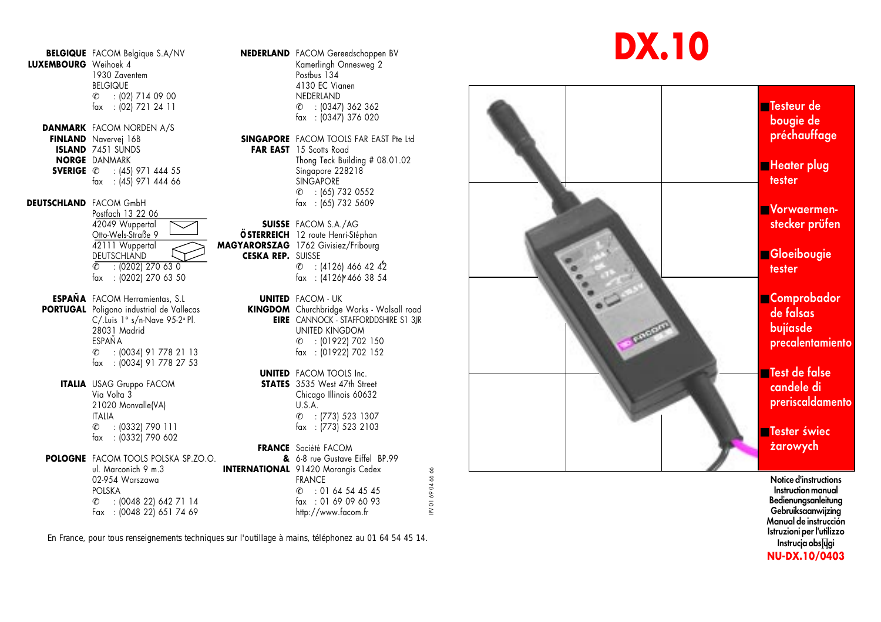**BELGIQUE** FACOM Belgique S.A/NV **NEDERLAND** FACOM Gereedschappen BV<br> **LUXEMBOURG** Weihoek 4 1930 Zaventem<br>BEIGIQUE

fax : (02) 721 24 11 **DANMARK** FACOM NORDEN A/S<br>**FINLAND** Navervei 16B **ISLAND** 7451 SUNDS<br>**NORGE** DANMARK **FAR EAST** 15 Scotts Road<br>Thona Teck Buil

**SVERIGE**  $\ell$  : (45) 971 444 55 Singapore 228218 fax : (45) 971 444 66 SINGAPORE

**DEUTSCHLAND** FACOM GmbH

Postfach 13 22 06<br>42049 Wuppertal 42049 Wuppertal **SUISSE** FACOM S.A./AG **DEUTSCHLAND CESKA REP.** SUISSE

**ESPAÑA** FACOM Herramientas, S.L **UNITED** FACOM - UK **PORTUGAL** Poligono industrial de Vallecas **KINGDOM** Churchbridge Works - Walsall road C/.Luis 1° s/n-Nave 95-2º Pl.<br>28031 Madrid ESPAÑA  $\%$  : (0034) 91 778 21 13 fax : (0034) 91 778 27 53 fax : (0202) 270 63 50<br>
FACOM Herramientas, S.1.<br>
Poligono industrial de Vallecas<br>
C/.Luis <sup>1</sup>° s/n-Nave 95.2° Pl.<br>
28031 Modrid<br>
28031 Modrid<br>
28031 Modrid<br>
28031 Modrid<br>
291034 91 778 21 13<br>
4 : (0034) 91 778 21 13<br>
4 :

**ITALIA** USAG Gruppo FACOM<br>
Via Volta 3 21020 Monvalle(VA) ITALIA  $\mathscr{E}$  : (0332) 790 111 fax : (0332) 790 602

## **POLOGNE** FACOM TOOLS POLSKA SP.ZO.O. ul. Marconich 9 m.3 **INTERNATIONAL** 91420 Morangis Cedex<br>02-954 Warszawa **INTERNATIONAL** PRANCE 02-954 Warszawa

POLSKA ✆ : (0048 22) 642 71 14 fax : 01 69 09 60 93

Kamerlingh Onnesweg 2<br>Postbus 134 BELGIQUE 4130 EC Vianen  $\ell$  : (02) 714 09 00 NEDERLAND  $C = 103471362362$ fax : (0347) 376 020

> **SINGAPORE** FACOM TOOLS FAR EAST Pte Ltd Thong Teck Building # 08.01.02<br>Singgpore 228218  $\ell$  : (65) 732 0552<br>fax : (65) 732 5609

Otto-Wels-Straße 9 **Contract Contract Contract Provide Strage 1 ÖSTERREICH** 12 route Henri-Stéphan<br>42111 Wuppertal **Alexandria 1762** Givisiez/Fribourg 42111 Wuppertal **MAGYARORSZAG** 1762 Givisiez/Fribourg<br>DEUTSCHLAND **CESKA REP.** SUISSE  $\ell$  : (0202) 270 63 0  $\ell$  : (4126) 466 42 42 fax : (0202) 270 63 50 fax : (4126) 466 38 54

> **EIRE** CANNOCK - STAFFORDDSHIRE S1 3JR UNITED KINGDOM  $\ell$  : (01922) 702 150<br>fax: (01922) 702 152

## **UNITED** FACOM TOOLS Inc.<br>**STATES** 3535 West 47th Street

Chicago Illinois 60632<br>U.S.A.  $\ell$  : (773) 523 1307<br>fax : (773) 523 2103

## **FRANCE** Société FACOM

**&** 6-8 rue Gustave Eiffel BP.99  $\%$  : 01 64 54 45 45<br>fax: 01 69 09 60 93

En France, pour tous renseignements techniques sur l'outillage à mains, téléphonez au 01 64 54 45 14.





Notice d'instructions Instruction manual Bedienungsanleitung Gebruiksaanwijzing Manual de instrucción Istruzioni per l'utilizzo Instrucja obsĮų̇gi **NU-DX.10/0403**